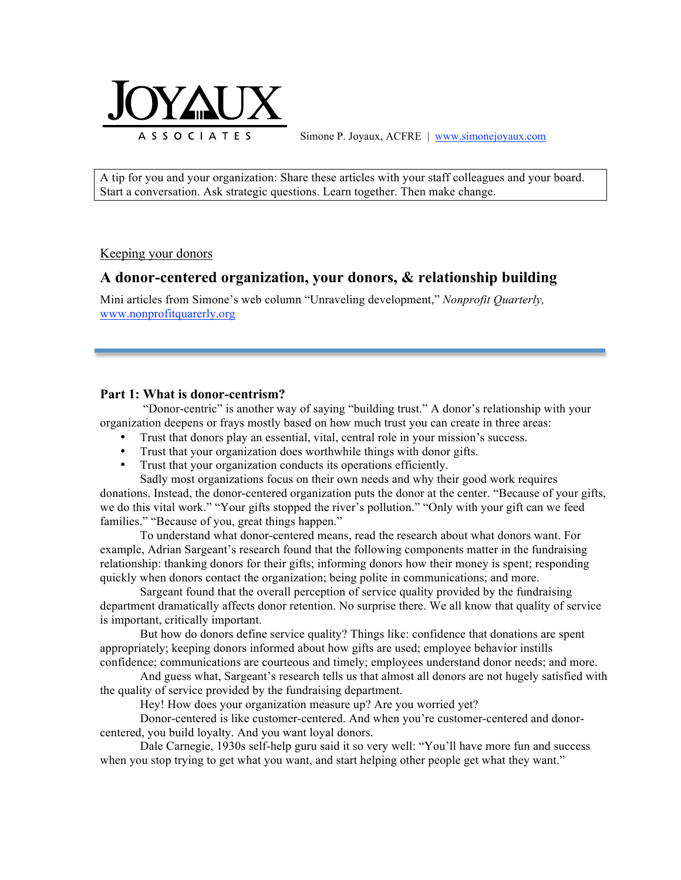

Simone P. Joyaux, ACFRE | www.simonejoyaux.com

A tip for you and your organization: Share these articles with your staff colleagues and your board. Start a conversation. Ask strategic questions. Learn together. Then make change.

Keeping your donors

# **A donor-centered organization, your donors, & relationship building**

Mini articles from Simone's web column "Unraveling development," *Nonprofit Quarterly,*  www.nonprofitquarerly.org

## **Part 1: What is donor-centrism?**

"Donor-centric" is another way of saying "building trust." A donor's relationship with your organization deepens or frays mostly based on how much trust you can create in three areas:

- Trust that donors play an essential, vital, central role in your mission's success.
- Trust that your organization does worthwhile things with donor gifts.<br>• Trust that your organization conducts its operations efficiently
- Trust that your organization conducts its operations efficiently.

Sadly most organizations focus on their own needs and why their good work requires donations. Instead, the donor-centered organization puts the donor at the center. "Because of your gifts, we do this vital work." "Your gifts stopped the river's pollution." "Only with your gift can we feed families." "Because of you, great things happen."

To understand what donor-centered means, read the research about what donors want. For example, Adrian Sargeant's research found that the following components matter in the fundraising relationship: thanking donors for their gifts; informing donors how their money is spent; responding quickly when donors contact the organization; being polite in communications; and more.

Sargeant found that the overall perception of service quality provided by the fundraising department dramatically affects donor retention. No surprise there. We all know that quality of service is important, critically important.

But how do donors define service quality? Things like: confidence that donations are spent appropriately; keeping donors informed about how gifts are used; employee behavior instills confidence; communications are courteous and timely; employees understand donor needs; and more.

And guess what, Sargeant's research tells us that almost all donors are not hugely satisfied with the quality of service provided by the fundraising department.

Hey! How does your organization measure up? Are you worried yet?

Donor-centered is like customer-centered. And when you're customer-centered and donorcentered, you build loyalty. And you want loyal donors.

Dale Carnegie, 1930s self-help guru said it so very well: "You'll have more fun and success when you stop trying to get what you want, and start helping other people get what they want."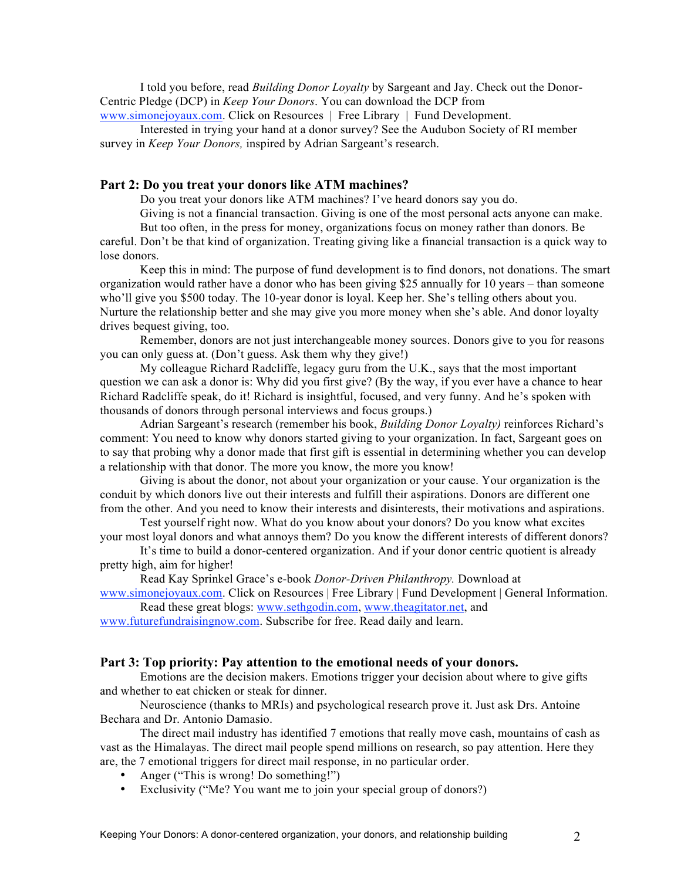I told you before, read *Building Donor Loyalty* by Sargeant and Jay. Check out the Donor-Centric Pledge (DCP) in *Keep Your Donors*. You can download the DCP from www.simonejoyaux.com. Click on Resources | Free Library | Fund Development.

Interested in trying your hand at a donor survey? See the Audubon Society of RI member survey in *Keep Your Donors,* inspired by Adrian Sargeant's research.

## **Part 2: Do you treat your donors like ATM machines?**

Do you treat your donors like ATM machines? I've heard donors say you do.

Giving is not a financial transaction. Giving is one of the most personal acts anyone can make.

But too often, in the press for money, organizations focus on money rather than donors. Be careful. Don't be that kind of organization. Treating giving like a financial transaction is a quick way to lose donors.

Keep this in mind: The purpose of fund development is to find donors, not donations. The smart organization would rather have a donor who has been giving \$25 annually for 10 years – than someone who'll give you \$500 today. The 10-year donor is loyal. Keep her. She's telling others about you. Nurture the relationship better and she may give you more money when she's able. And donor loyalty drives bequest giving, too.

Remember, donors are not just interchangeable money sources. Donors give to you for reasons you can only guess at. (Don't guess. Ask them why they give!)

My colleague Richard Radcliffe, legacy guru from the U.K., says that the most important question we can ask a donor is: Why did you first give? (By the way, if you ever have a chance to hear Richard Radcliffe speak, do it! Richard is insightful, focused, and very funny. And he's spoken with thousands of donors through personal interviews and focus groups.)

Adrian Sargeant's research (remember his book, *Building Donor Loyalty)* reinforces Richard's comment: You need to know why donors started giving to your organization. In fact, Sargeant goes on to say that probing why a donor made that first gift is essential in determining whether you can develop a relationship with that donor. The more you know, the more you know!

Giving is about the donor, not about your organization or your cause. Your organization is the conduit by which donors live out their interests and fulfill their aspirations. Donors are different one from the other. And you need to know their interests and disinterests, their motivations and aspirations.

Test yourself right now. What do you know about your donors? Do you know what excites your most loyal donors and what annoys them? Do you know the different interests of different donors?

It's time to build a donor-centered organization. And if your donor centric quotient is already pretty high, aim for higher!

Read Kay Sprinkel Grace's e-book *Donor-Driven Philanthropy.* Download at

www.simonejoyaux.com. Click on Resources | Free Library | Fund Development | General Information. Read these great blogs: www.sethgodin.com, www.theagitator.net, and

www.futurefundraisingnow.com. Subscribe for free. Read daily and learn.

#### **Part 3: Top priority: Pay attention to the emotional needs of your donors.**

Emotions are the decision makers. Emotions trigger your decision about where to give gifts and whether to eat chicken or steak for dinner.

Neuroscience (thanks to MRIs) and psychological research prove it. Just ask Drs. Antoine Bechara and Dr. Antonio Damasio.

The direct mail industry has identified 7 emotions that really move cash, mountains of cash as vast as the Himalayas. The direct mail people spend millions on research, so pay attention. Here they are, the 7 emotional triggers for direct mail response, in no particular order.

- Anger ("This is wrong! Do something!")
- Exclusivity ("Me? You want me to join your special group of donors?)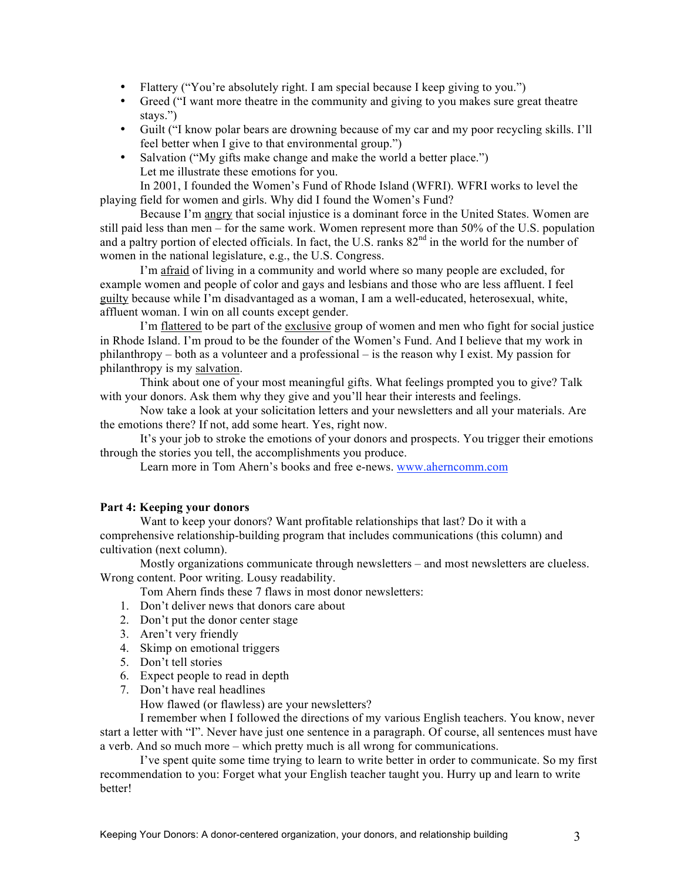- Flattery ("You're absolutely right. I am special because I keep giving to you.")
- Greed ("I want more theatre in the community and giving to you makes sure great theatre stays.")
- Guilt ("I know polar bears are drowning because of my car and my poor recycling skills. I'll feel better when I give to that environmental group.")
- Salvation ("My gifts make change and make the world a better place.") Let me illustrate these emotions for you.

In 2001, I founded the Women's Fund of Rhode Island (WFRI). WFRI works to level the playing field for women and girls. Why did I found the Women's Fund?

Because I'm angry that social injustice is a dominant force in the United States. Women are still paid less than men – for the same work. Women represent more than 50% of the U.S. population and a paltry portion of elected officials. In fact, the U.S. ranks  $82<sup>nd</sup>$  in the world for the number of women in the national legislature, e.g., the U.S. Congress.

I'm afraid of living in a community and world where so many people are excluded, for example women and people of color and gays and lesbians and those who are less affluent. I feel guilty because while I'm disadvantaged as a woman, I am a well-educated, heterosexual, white, affluent woman. I win on all counts except gender.

I'm flattered to be part of the exclusive group of women and men who fight for social justice in Rhode Island. I'm proud to be the founder of the Women's Fund. And I believe that my work in philanthropy – both as a volunteer and a professional – is the reason why I exist. My passion for philanthropy is my salvation.

Think about one of your most meaningful gifts. What feelings prompted you to give? Talk with your donors. Ask them why they give and you'll hear their interests and feelings.

Now take a look at your solicitation letters and your newsletters and all your materials. Are the emotions there? If not, add some heart. Yes, right now.

It's your job to stroke the emotions of your donors and prospects. You trigger their emotions through the stories you tell, the accomplishments you produce.

Learn more in Tom Ahern's books and free e-news. www.aherncomm.com

### **Part 4: Keeping your donors**

Want to keep your donors? Want profitable relationships that last? Do it with a comprehensive relationship-building program that includes communications (this column) and cultivation (next column).

Mostly organizations communicate through newsletters – and most newsletters are clueless. Wrong content. Poor writing. Lousy readability.

Tom Ahern finds these 7 flaws in most donor newsletters:

- 1. Don't deliver news that donors care about
- 2. Don't put the donor center stage
- 3. Aren't very friendly
- 4. Skimp on emotional triggers
- 5. Don't tell stories
- 6. Expect people to read in depth
- 7. Don't have real headlines

How flawed (or flawless) are your newsletters?

I remember when I followed the directions of my various English teachers. You know, never start a letter with "I". Never have just one sentence in a paragraph. Of course, all sentences must have a verb. And so much more – which pretty much is all wrong for communications.

I've spent quite some time trying to learn to write better in order to communicate. So my first recommendation to you: Forget what your English teacher taught you. Hurry up and learn to write better!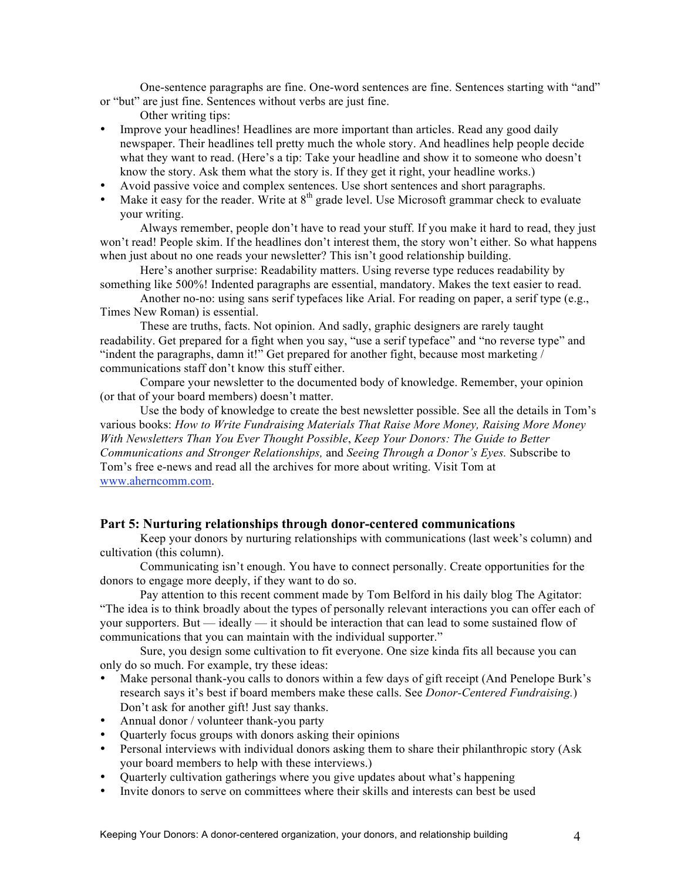One-sentence paragraphs are fine. One-word sentences are fine. Sentences starting with "and" or "but" are just fine. Sentences without verbs are just fine.

- Other writing tips:
- Improve your headlines! Headlines are more important than articles. Read any good daily newspaper. Their headlines tell pretty much the whole story. And headlines help people decide what they want to read. (Here's a tip: Take your headline and show it to someone who doesn't know the story. Ask them what the story is. If they get it right, your headline works.)
- Avoid passive voice and complex sentences. Use short sentences and short paragraphs.
- Make it easy for the reader. Write at  $8<sup>th</sup>$  grade level. Use Microsoft grammar check to evaluate your writing.

Always remember, people don't have to read your stuff. If you make it hard to read, they just won't read! People skim. If the headlines don't interest them, the story won't either. So what happens when just about no one reads your newsletter? This isn't good relationship building.

Here's another surprise: Readability matters. Using reverse type reduces readability by something like 500%! Indented paragraphs are essential, mandatory. Makes the text easier to read.

Another no-no: using sans serif typefaces like Arial. For reading on paper, a serif type (e.g., Times New Roman) is essential.

These are truths, facts. Not opinion. And sadly, graphic designers are rarely taught readability. Get prepared for a fight when you say, "use a serif typeface" and "no reverse type" and "indent the paragraphs, damn it!" Get prepared for another fight, because most marketing / communications staff don't know this stuff either.

Compare your newsletter to the documented body of knowledge. Remember, your opinion (or that of your board members) doesn't matter.

Use the body of knowledge to create the best newsletter possible. See all the details in Tom's various books: *How to Write Fundraising Materials That Raise More Money, Raising More Money With Newsletters Than You Ever Thought Possible*, *Keep Your Donors: The Guide to Better Communications and Stronger Relationships,* and *Seeing Through a Donor's Eyes.* Subscribe to Tom's free e-news and read all the archives for more about writing. Visit Tom at www.aherncomm.com.

## **Part 5: Nurturing relationships through donor-centered communications**

Keep your donors by nurturing relationships with communications (last week's column) and cultivation (this column).

Communicating isn't enough. You have to connect personally. Create opportunities for the donors to engage more deeply, if they want to do so.

Pay attention to this recent comment made by Tom Belford in his daily blog The Agitator: "The idea is to think broadly about the types of personally relevant interactions you can offer each of your supporters. But — ideally — it should be interaction that can lead to some sustained flow of communications that you can maintain with the individual supporter."

Sure, you design some cultivation to fit everyone. One size kinda fits all because you can only do so much. For example, try these ideas:

- Make personal thank-you calls to donors within a few days of gift receipt (And Penelope Burk's research says it's best if board members make these calls. See *Donor-Centered Fundraising.*) Don't ask for another gift! Just say thanks.
- Annual donor / volunteer thank-you party
- Quarterly focus groups with donors asking their opinions
- Personal interviews with individual donors asking them to share their philanthropic story (Ask your board members to help with these interviews.)
- Quarterly cultivation gatherings where you give updates about what's happening
- Invite donors to serve on committees where their skills and interests can best be used